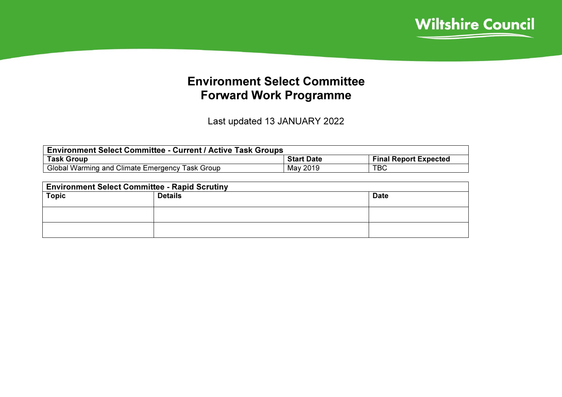

## Environment Select Committee Forward Work Programme

Last updated 13 JANUARY 2022

| <b>Environment Select Committee - Current / Active Task Groups</b> |                   |                              |  |  |  |
|--------------------------------------------------------------------|-------------------|------------------------------|--|--|--|
| <b>Task Group</b>                                                  | <b>Start Date</b> | <b>Final Report Expected</b> |  |  |  |
| Global Warming and Climate Emergency Task Group                    | May 2019          | TBC                          |  |  |  |

| <b>Environment Select Committee - Rapid Scrutiny</b> |                |             |  |  |  |
|------------------------------------------------------|----------------|-------------|--|--|--|
| <b>Topic</b>                                         | <b>Details</b> | <b>Date</b> |  |  |  |
|                                                      |                |             |  |  |  |
|                                                      |                |             |  |  |  |
|                                                      |                |             |  |  |  |
|                                                      |                |             |  |  |  |
|                                                      |                |             |  |  |  |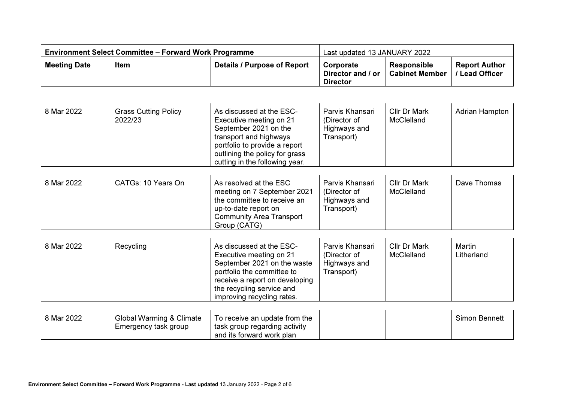| <b>Environment Select Committee – Forward Work Programme</b> |      | Last updated 13 JANUARY 2022       |                                                                    |                    |                                             |
|--------------------------------------------------------------|------|------------------------------------|--------------------------------------------------------------------|--------------------|---------------------------------------------|
| <b>Meeting Date</b>                                          | Item | <b>Details / Purpose of Report</b> | Corporate<br>Director and / or   Cabinet Member<br><b>Director</b> | <b>Responsible</b> | <b>Report Author</b><br><b>Lead Officer</b> |

| 8 Mar 2022 | <b>Grass Cutting Policy</b><br>2022/23                      | As discussed at the ESC-<br>Executive meeting on 21<br>September 2021 on the<br>transport and highways<br>portfolio to provide a report<br>outlining the policy for grass<br>cutting in the following year.   | Parvis Khansari<br>(Director of<br>Highways and<br>Transport) | <b>Cllr Dr Mark</b><br><b>McClelland</b> | Adrian Hampton       |
|------------|-------------------------------------------------------------|---------------------------------------------------------------------------------------------------------------------------------------------------------------------------------------------------------------|---------------------------------------------------------------|------------------------------------------|----------------------|
| 8 Mar 2022 | CATGs: 10 Years On                                          | As resolved at the ESC<br>meeting on 7 September 2021<br>the committee to receive an<br>up-to-date report on<br><b>Community Area Transport</b><br>Group (CATG)                                               | Parvis Khansari<br>(Director of<br>Highways and<br>Transport) | <b>Cllr Dr Mark</b><br><b>McClelland</b> | Dave Thomas          |
| 8 Mar 2022 | Recycling                                                   | As discussed at the ESC-<br>Executive meeting on 21<br>September 2021 on the waste<br>portfolio the committee to<br>receive a report on developing<br>the recycling service and<br>improving recycling rates. | Parvis Khansari<br>(Director of<br>Highways and<br>Transport) | Cllr Dr Mark<br>McClelland               | Martin<br>Litherland |
| 8 Mar 2022 | <b>Global Warming &amp; Climate</b><br>Emergency task group | To receive an update from the<br>task group regarding activity<br>and its forward work plan                                                                                                                   |                                                               |                                          | Simon Bennett        |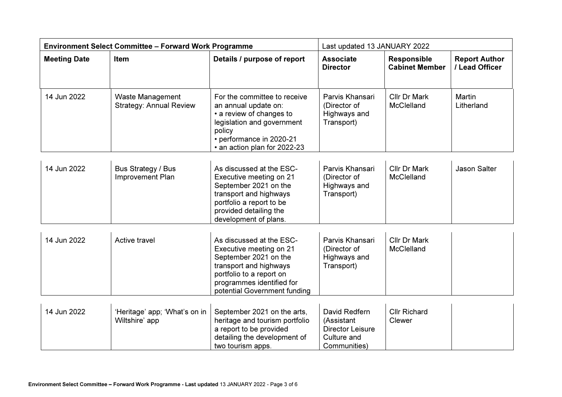| <b>Environment Select Committee - Forward Work Programme</b> |                                                           | Last updated 13 JANUARY 2022                                                                                                                                                                    |                                                                                       |                                             |                                        |
|--------------------------------------------------------------|-----------------------------------------------------------|-------------------------------------------------------------------------------------------------------------------------------------------------------------------------------------------------|---------------------------------------------------------------------------------------|---------------------------------------------|----------------------------------------|
| <b>Meeting Date</b>                                          | Item                                                      | Details / purpose of report                                                                                                                                                                     | <b>Associate</b><br><b>Director</b>                                                   | <b>Responsible</b><br><b>Cabinet Member</b> | <b>Report Author</b><br>/ Lead Officer |
| 14 Jun 2022                                                  | <b>Waste Management</b><br><b>Strategy: Annual Review</b> | For the committee to receive<br>an annual update on:<br>• a review of changes to<br>legislation and government<br>policy<br>• performance in 2020-21<br>• an action plan for 2022-23            | Parvis Khansari<br>(Director of<br>Highways and<br>Transport)                         | <b>Cllr Dr Mark</b><br>McClelland           | Martin<br>Litherland                   |
| 14 Jun 2022                                                  | Bus Strategy / Bus<br>Improvement Plan                    | As discussed at the ESC-<br>Executive meeting on 21<br>September 2021 on the<br>transport and highways<br>portfolio a report to be<br>provided detailing the<br>development of plans.           | Parvis Khansari<br>(Director of<br>Highways and<br>Transport)                         | Cllr Dr Mark<br>McClelland                  | <b>Jason Salter</b>                    |
| 14 Jun 2022                                                  | Active travel                                             | As discussed at the ESC-<br>Executive meeting on 21<br>September 2021 on the<br>transport and highways<br>portfolio to a report on<br>programmes identified for<br>potential Government funding | Parvis Khansari<br>(Director of<br>Highways and<br>Transport)                         | Cllr Dr Mark<br>McClelland                  |                                        |
| 14 Jun 2022                                                  | 'Heritage' app; 'What's on in<br>Wiltshire' app           | September 2021 on the arts,<br>heritage and tourism portfolio<br>a report to be provided<br>detailing the development of<br>two tourism apps.                                                   | David Redfern<br>(Assistant<br><b>Director Leisure</b><br>Culture and<br>Communities) | <b>Cllr Richard</b><br>Clewer               |                                        |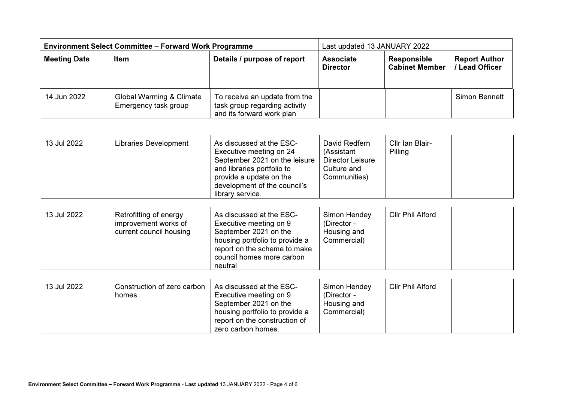| <b>Environment Select Committee - Forward Work Programme</b> |                                                  |                                                                                             | Last updated 13 JANUARY 2022        |                                             |                                      |
|--------------------------------------------------------------|--------------------------------------------------|---------------------------------------------------------------------------------------------|-------------------------------------|---------------------------------------------|--------------------------------------|
| <b>Meeting Date</b>                                          | Item                                             | Details / purpose of report                                                                 | <b>Associate</b><br><b>Director</b> | <b>Responsible</b><br><b>Cabinet Member</b> | <b>Report Author</b><br>Lead Officer |
| 14 Jun 2022                                                  | Global Warming & Climate<br>Emergency task group | To receive an update from the<br>task group regarding activity<br>and its forward work plan |                                     |                                             | Simon Bennett                        |

| 13 Jul 2022 | <b>Libraries Development</b>                                              | As discussed at the ESC-<br>Executive meeting on 24<br>September 2021 on the leisure<br>and libraries portfolio to<br>provide a update on the<br>development of the council's<br>library service. | David Redfern<br>(Assistant<br><b>Director Leisure</b><br>Culture and<br>Communities) | Cllr Ian Blair-<br>Pilling |
|-------------|---------------------------------------------------------------------------|---------------------------------------------------------------------------------------------------------------------------------------------------------------------------------------------------|---------------------------------------------------------------------------------------|----------------------------|
| 13 Jul 2022 | Retrofitting of energy<br>improvement works of<br>current council housing | As discussed at the ESC-<br>Executive meeting on 9<br>September 2021 on the<br>housing portfolio to provide a<br>report on the scheme to make<br>council homes more carbon<br>neutral             | Simon Hendey<br>(Director -<br>Housing and<br>Commercial)                             | <b>Cllr Phil Alford</b>    |
| 13 Jul 2022 | Construction of zero carbon                                               | As discussed at the ESC-                                                                                                                                                                          | Simon Hendey                                                                          | <b>Cllr Phil Alford</b>    |

| 13 Jul 2022 | Construction of zero carbon | As discussed at the ESC-       | Simon Hendey | <b>Cllr Phil Alford</b> |  |
|-------------|-----------------------------|--------------------------------|--------------|-------------------------|--|
|             | homes                       | Executive meeting on 9         | (Director -  |                         |  |
|             |                             | September 2021 on the          | Housing and  |                         |  |
|             |                             | housing portfolio to provide a | Commercial)  |                         |  |
|             |                             | report on the construction of  |              |                         |  |
|             |                             | zero carbon homes.             |              |                         |  |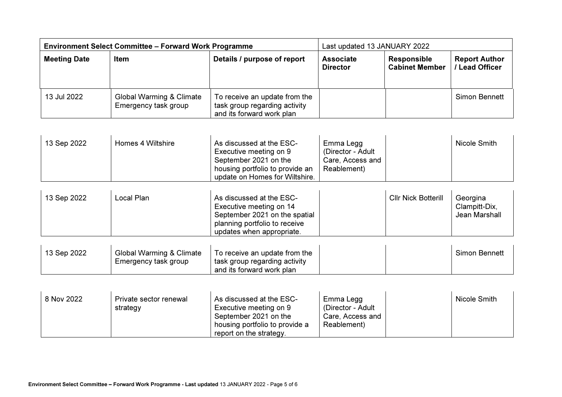| <b>Environment Select Committee - Forward Work Programme</b> |                                                  |                                                                                             | Last updated 13 JANUARY 2022        |                                             |                                      |
|--------------------------------------------------------------|--------------------------------------------------|---------------------------------------------------------------------------------------------|-------------------------------------|---------------------------------------------|--------------------------------------|
| <b>Meeting Date</b>                                          | <b>Item</b>                                      | Details / purpose of report                                                                 | <b>Associate</b><br><b>Director</b> | <b>Responsible</b><br><b>Cabinet Member</b> | <b>Report Author</b><br>Lead Officer |
| 13 Jul 2022                                                  | Global Warming & Climate<br>Emergency task group | To receive an update from the<br>task group regarding activity<br>and its forward work plan |                                     |                                             | Simon Bennett                        |

| <sup>1</sup> 13 Sep 2022 | Homes 4 Wiltshire | As discussed at the ESC-<br>Executive meeting on 9                | Emma Legg<br>(Director - Adult | Nicole Smith |
|--------------------------|-------------------|-------------------------------------------------------------------|--------------------------------|--------------|
|                          |                   | September 2021 on the                                             | Care, Access and               |              |
|                          |                   | housing portfolio to provide an<br>update on Homes for Wiltshire. | Reablement)                    |              |

| 13 Sep 2022 | Local Plan | As discussed at the ESC-<br>Executive meeting on 14<br>September 2021 on the spatial<br>planning portfolio to receive | <b>Cllr Nick Botterill</b> | Georgina<br>Clampitt-Dix.<br>Jean Marshall |
|-------------|------------|-----------------------------------------------------------------------------------------------------------------------|----------------------------|--------------------------------------------|
|             |            | updates when appropriate.                                                                                             |                            |                                            |

| 13 Sep 2022 | Global Warming & Climate | To receive an update from the |  | <b>Simon Bennett</b> |
|-------------|--------------------------|-------------------------------|--|----------------------|
|             | Emergency task group     | task group regarding activity |  |                      |
|             |                          | and its forward work plan     |  |                      |

| 8 Nov 2022 | Private sector renewal<br>strategy | As discussed at the ESC-<br>Executive meeting on 9<br>September 2021 on the<br>housing portfolio to provide a<br>report on the strategy. | Emma Legg<br>(Director - Adult<br>Care, Access and<br>Reablement) |  | Nicole Smith |
|------------|------------------------------------|------------------------------------------------------------------------------------------------------------------------------------------|-------------------------------------------------------------------|--|--------------|
|------------|------------------------------------|------------------------------------------------------------------------------------------------------------------------------------------|-------------------------------------------------------------------|--|--------------|